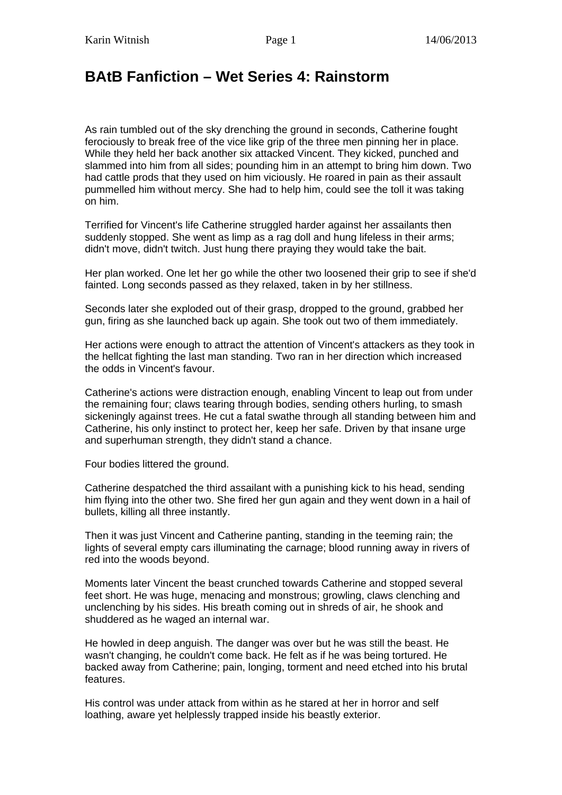## **BAtB Fanfiction – Wet Series 4: Rainstorm**

As rain tumbled out of the sky drenching the ground in seconds, Catherine fought ferociously to break free of the vice like grip of the three men pinning her in place. While they held her back another six attacked Vincent. They kicked, punched and slammed into him from all sides; pounding him in an attempt to bring him down. Two had cattle prods that they used on him viciously. He roared in pain as their assault pummelled him without mercy. She had to help him, could see the toll it was taking on him.

Terrified for Vincent's life Catherine struggled harder against her assailants then suddenly stopped. She went as limp as a rag doll and hung lifeless in their arms; didn't move, didn't twitch. Just hung there praying they would take the bait.

Her plan worked. One let her go while the other two loosened their grip to see if she'd fainted. Long seconds passed as they relaxed, taken in by her stillness.

Seconds later she exploded out of their grasp, dropped to the ground, grabbed her gun, firing as she launched back up again. She took out two of them immediately.

Her actions were enough to attract the attention of Vincent's attackers as they took in the hellcat fighting the last man standing. Two ran in her direction which increased the odds in Vincent's favour.

Catherine's actions were distraction enough, enabling Vincent to leap out from under the remaining four; claws tearing through bodies, sending others hurling, to smash sickeningly against trees. He cut a fatal swathe through all standing between him and Catherine, his only instinct to protect her, keep her safe. Driven by that insane urge and superhuman strength, they didn't stand a chance.

Four bodies littered the ground.

Catherine despatched the third assailant with a punishing kick to his head, sending him flying into the other two. She fired her gun again and they went down in a hail of bullets, killing all three instantly.

Then it was just Vincent and Catherine panting, standing in the teeming rain; the lights of several empty cars illuminating the carnage; blood running away in rivers of red into the woods beyond.

Moments later Vincent the beast crunched towards Catherine and stopped several feet short. He was huge, menacing and monstrous; growling, claws clenching and unclenching by his sides. His breath coming out in shreds of air, he shook and shuddered as he waged an internal war.

He howled in deep anguish. The danger was over but he was still the beast. He wasn't changing, he couldn't come back. He felt as if he was being tortured. He backed away from Catherine; pain, longing, torment and need etched into his brutal features.

His control was under attack from within as he stared at her in horror and self loathing, aware yet helplessly trapped inside his beastly exterior.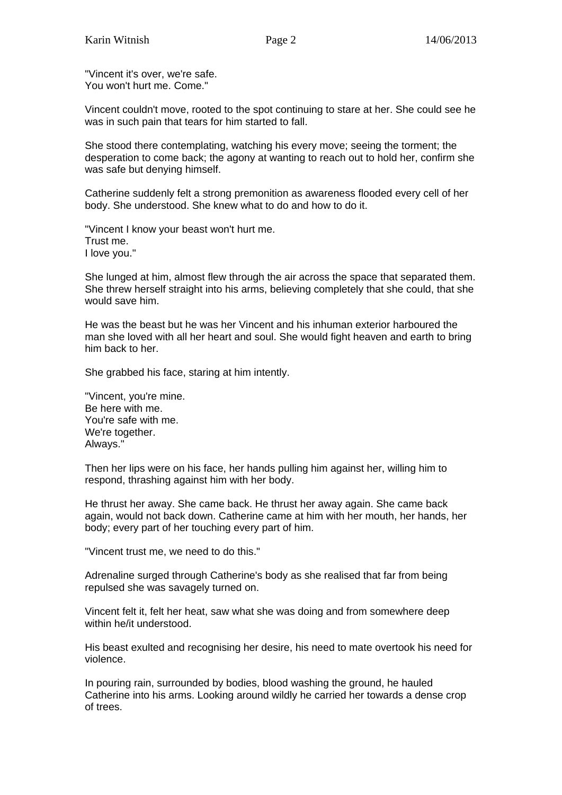"Vincent it's over, we're safe. You won't hurt me. Come."

Vincent couldn't move, rooted to the spot continuing to stare at her. She could see he was in such pain that tears for him started to fall.

She stood there contemplating, watching his every move; seeing the torment; the desperation to come back; the agony at wanting to reach out to hold her, confirm she was safe but denying himself.

Catherine suddenly felt a strong premonition as awareness flooded every cell of her body. She understood. She knew what to do and how to do it.

"Vincent I know your beast won't hurt me. Trust me. I love you."

She lunged at him, almost flew through the air across the space that separated them. She threw herself straight into his arms, believing completely that she could, that she would save him.

He was the beast but he was her Vincent and his inhuman exterior harboured the man she loved with all her heart and soul. She would fight heaven and earth to bring him back to her.

She grabbed his face, staring at him intently.

"Vincent, you're mine. Be here with me. You're safe with me. We're together. Always."

Then her lips were on his face, her hands pulling him against her, willing him to respond, thrashing against him with her body.

He thrust her away. She came back. He thrust her away again. She came back again, would not back down. Catherine came at him with her mouth, her hands, her body; every part of her touching every part of him.

"Vincent trust me, we need to do this."

Adrenaline surged through Catherine's body as she realised that far from being repulsed she was savagely turned on.

Vincent felt it, felt her heat, saw what she was doing and from somewhere deep within he/it understood.

His beast exulted and recognising her desire, his need to mate overtook his need for violence.

In pouring rain, surrounded by bodies, blood washing the ground, he hauled Catherine into his arms. Looking around wildly he carried her towards a dense crop of trees.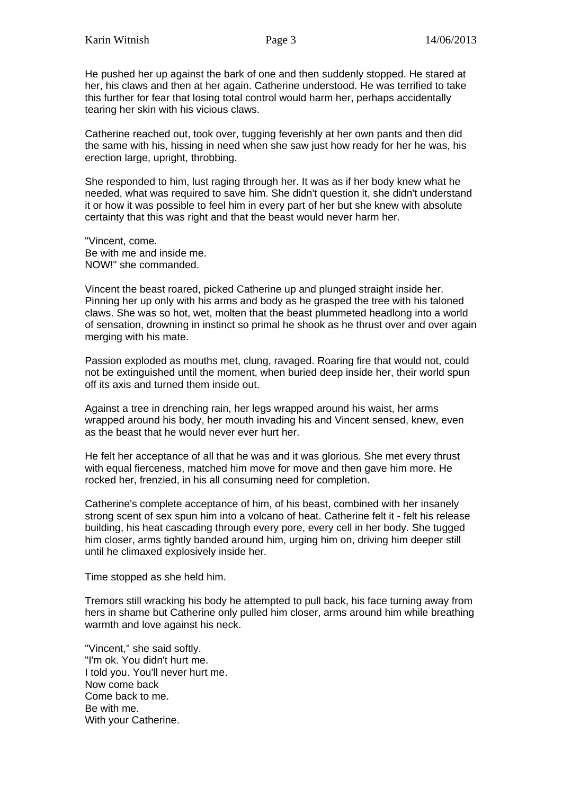He pushed her up against the bark of one and then suddenly stopped. He stared at her, his claws and then at her again. Catherine understood. He was terrified to take this further for fear that losing total control would harm her, perhaps accidentally tearing her skin with his vicious claws.

Catherine reached out, took over, tugging feverishly at her own pants and then did the same with his, hissing in need when she saw just how ready for her he was, his erection large, upright, throbbing.

She responded to him, lust raging through her. It was as if her body knew what he needed, what was required to save him. She didn't question it, she didn't understand it or how it was possible to feel him in every part of her but she knew with absolute certainty that this was right and that the beast would never harm her.

"Vincent, come. Be with me and inside me. NOW!" she commanded.

Vincent the beast roared, picked Catherine up and plunged straight inside her. Pinning her up only with his arms and body as he grasped the tree with his taloned claws. She was so hot, wet, molten that the beast plummeted headlong into a world of sensation, drowning in instinct so primal he shook as he thrust over and over again merging with his mate.

Passion exploded as mouths met, clung, ravaged. Roaring fire that would not, could not be extinguished until the moment, when buried deep inside her, their world spun off its axis and turned them inside out.

Against a tree in drenching rain, her legs wrapped around his waist, her arms wrapped around his body, her mouth invading his and Vincent sensed, knew, even as the beast that he would never ever hurt her.

He felt her acceptance of all that he was and it was glorious. She met every thrust with equal fierceness, matched him move for move and then gave him more. He rocked her, frenzied, in his all consuming need for completion.

Catherine's complete acceptance of him, of his beast, combined with her insanely strong scent of sex spun him into a volcano of heat. Catherine felt it - felt his release building, his heat cascading through every pore, every cell in her body. She tugged him closer, arms tightly banded around him, urging him on, driving him deeper still until he climaxed explosively inside her.

Time stopped as she held him.

Tremors still wracking his body he attempted to pull back, his face turning away from hers in shame but Catherine only pulled him closer, arms around him while breathing warmth and love against his neck.

"Vincent," she said softly. "I'm ok. You didn't hurt me. I told you. You'll never hurt me. Now come back Come back to me. Be with me. With your Catherine.